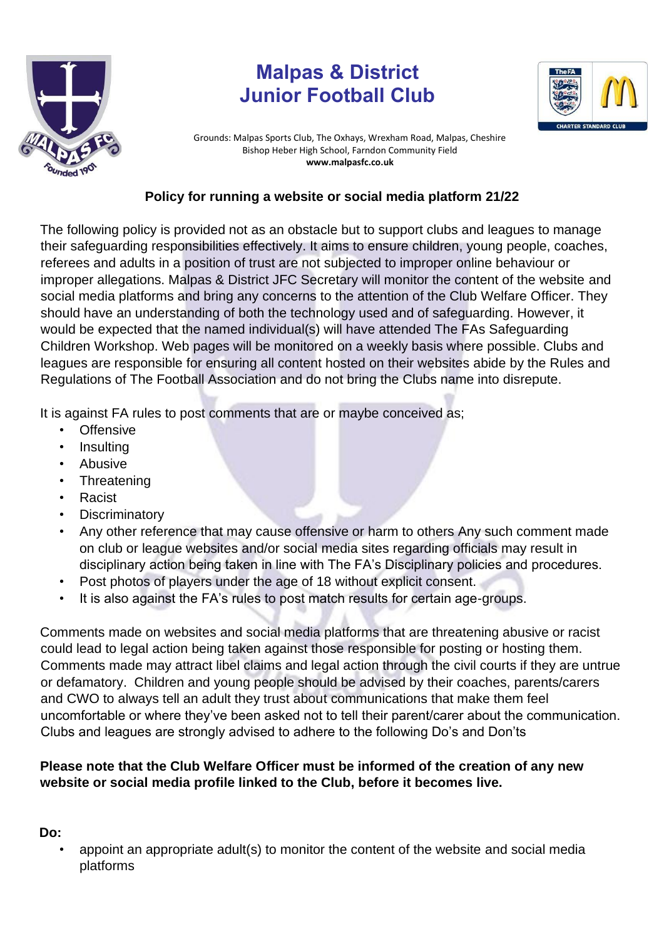

# **Malpas & District Junior Football Club**



Grounds: Malpas Sports Club, The Oxhays, Wrexham Road, Malpas, Cheshire Bishop Heber High School, Farndon Community Field **www.malpasfc.co.uk** 

## **Policy for running a website or social media platform 21/22**

The following policy is provided not as an obstacle but to support clubs and leagues to manage their safeguarding responsibilities effectively. It aims to ensure children, young people, coaches, referees and adults in a position of trust are not subjected to improper online behaviour or improper allegations. Malpas & District JFC Secretary will monitor the content of the website and social media platforms and bring any concerns to the attention of the Club Welfare Officer. They should have an understanding of both the technology used and of safeguarding. However, it would be expected that the named individual(s) will have attended The FAs Safeguarding Children Workshop. Web pages will be monitored on a weekly basis where possible. Clubs and leagues are responsible for ensuring all content hosted on their websites abide by the Rules and Regulations of The Football Association and do not bring the Clubs name into disrepute.

It is against FA rules to post comments that are or maybe conceived as;

- Offensive
- **Insulting**
- Abusive
- **Threatening**
- Racist
- **Discriminatory**
- Any other reference that may cause offensive or harm to others Any such comment made on club or league websites and/or social media sites regarding officials may result in disciplinary action being taken in line with The FA's Disciplinary policies and procedures.
- Post photos of players under the age of 18 without explicit consent.
- It is also against the FA's rules to post match results for certain age-groups.

Comments made on websites and social media platforms that are threatening abusive or racist could lead to legal action being taken against those responsible for posting or hosting them. Comments made may attract libel claims and legal action through the civil courts if they are untrue or defamatory. Children and young people should be advised by their coaches, parents/carers and CWO to always tell an adult they trust about communications that make them feel uncomfortable or where they've been asked not to tell their parent/carer about the communication. Clubs and leagues are strongly advised to adhere to the following Do's and Don'ts

## **Please note that the Club Welfare Officer must be informed of the creation of any new website or social media profile linked to the Club, before it becomes live.**

### **Do:**

• appoint an appropriate adult(s) to monitor the content of the website and social media platforms